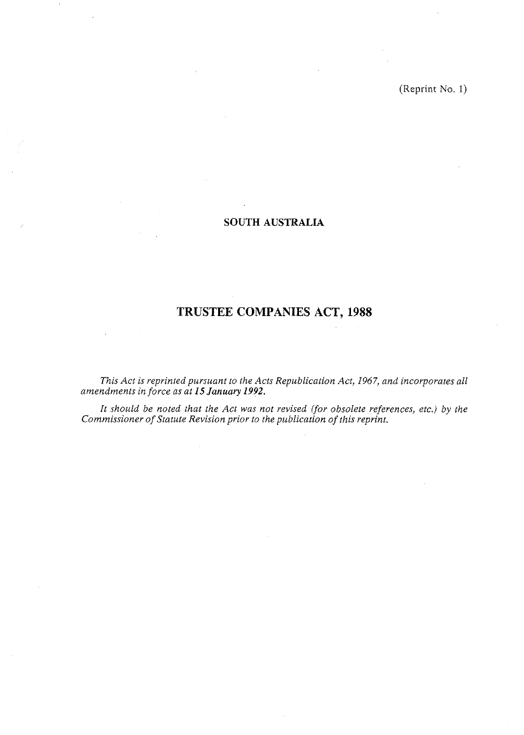(Reprint No. 1)

# **SOUTH AUSTRALIA**

# **TRUSTEE COMPANIES ACT, 1988**

*This Act is reprinted pursuant to the Acts Republication Act, 1967, and incorporates all amendments in force as at* **15** *January 1992.* 

*It should be noted that the Act was not revised ifor obsolete references, etc.) by the Commissioner of Statute Revision prior to the publication of this reprint.*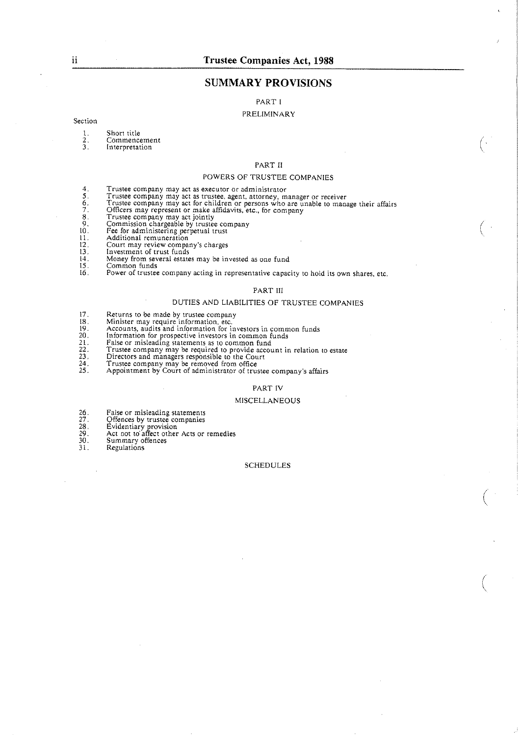# **SUMMARY PROVISIONS**

PART I

## PRELIMINARY

#### Section

- 1. Short title 2. Commencement<br>3. Interpretation
- Interpretation

#### PART 11

#### POWERS OF TRUSTEE COMPANIES

- 4. Trustee company may act as executor or administrator
- 
- 5. Trustee company may act as trustee, agent, attorney, manager or receiver<br>6. Trustee company may act for children or persons who are unable to manage their affairs<br>7. Officers may represent or make affidavits, etc., for
- 
- 
- 8. Trustee company may act jointly<br>9. Commission chargeable by trustee company<br>10. Fee for administering perpetual trust<br>11. Additional remuneration<br>12. Court may review company's charges
- 
- 
- 
- 
- 12. Court may review compare<br>
13. Investment of trust funds<br>
14. Money from several estate<br>
15. Common funds
- 14. Money from several estates may be invested as one fund 15. Common funds 16. Power of trustee company acting in representative capacity to hold its own shares, etc

#### PART III

#### DUTIES AND LIABILITIES OF TRUSTEE COMPANIES

- 17. Returns to be made by trustee company
- 
- 18. Minister may require information, etc. 19. Accounts, audits and information for investors in common funds
- 
- 
- 20. Information for prospective investors in common funds<br>21. False or misleading statements as to common fund<br>22. Trustee company may be required to provide account in relation to estate<br>23. Directors and managers respons
- 
- 
- 24. Trustee company may be removed from ofice 25. Appointment by Court of administrator of trustee company's affairs

#### PART IV

#### MiSCELLANEOUS

- 
- 26. False or misleading statements **27.** Offences by trustee companies
- 
- 28. Evidentiary rovision 29. Act not to alfect other Acts or remedies 30. Summary offences 26. False or mis<br>
27. Offences by<br>
28. Evidentiary<br>
30. Act not to a<br>
31. Regulations
- 
- 

#### SCHEDULES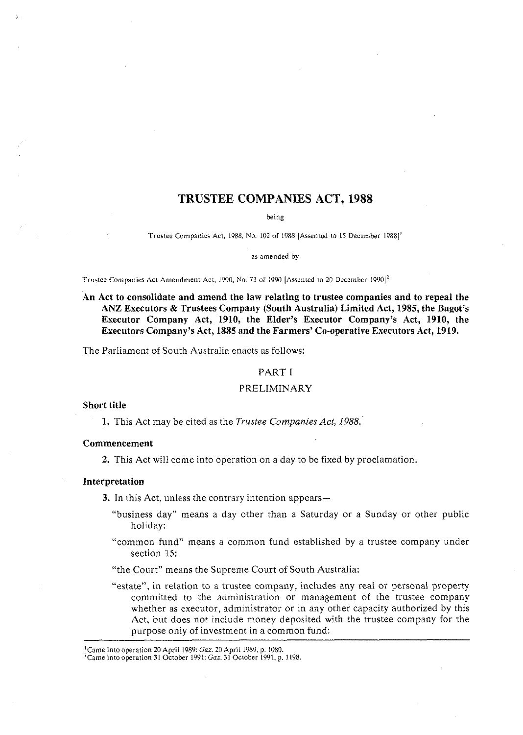# **TRUSTEE COMPANIES ACT, 1988**

being

Trustee Companies Act. 1988. No. 102 of 1988 [Assented to 15 December 19881'

as amended by

Trustee Companies Act Amendment Act, 1990, No. 73 of 1990 [Assented to 20 December 1990]<sup>2</sup>

**An Act to consolidate and amend the law relating to trustee companies and to repeal the ANZ Executors** & **Trustees Company (South Australia) Limited Act, 1985, the Bagot's Executor Company Act, 1910, the Elder's Executor Company's Act, 1910, the Executors Company's Act, 1885 and the Farmers' Co-operative Executors Act, 1919.** 

The Parliament of South Australia enacts as follows:

#### PART I

## PRELIMINARY

## **Short title**

**1.** This Act may be cited as the Trustee Companies *Act,* 1988.-

## **Commencement**

**2.** This Act will come into operation on a day to be fixed by proclamation.

## **Interpretation**

**3.** In this Act, unless the contrary intention appears—

- "business day" means a day other than a Saturday or a Sunday or other public holiday:
- "common fund" means a common fund established by a trustee company under section 15:
- "the Court" means the Supreme Court of South Australia:
- "estate", in relation to a trustee company, includes any real or personal property committed to the administration or management of the trustee company whether as executor, administrator or in any other capacity authorized by this Act, but does not include money deposited with the trustee company for the purpose only of investment in a common fund:

<sup>&#</sup>x27;Came into operation 20 April 1989: Gaz. 20 April 1989. p. 1080.

<sup>&#</sup>x27;Came into operation 31 October 1991: *Gaz.* 31 October 1991. p. 1198.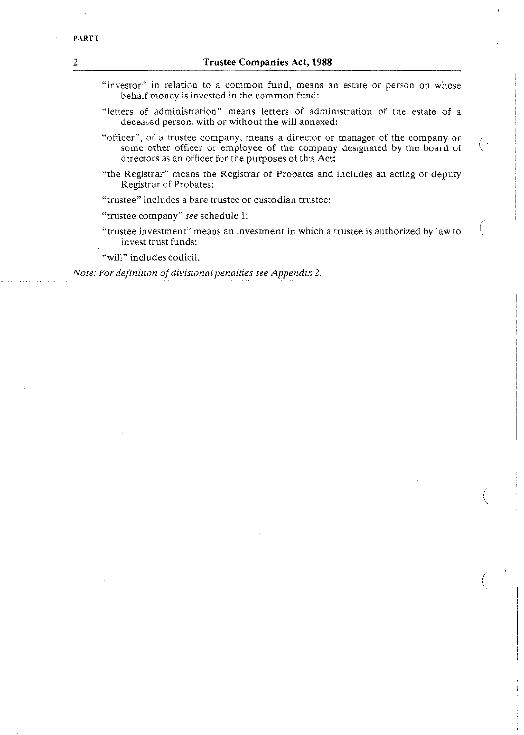- "investor" in relation to a common fund, means an estate or person on whose behalf money is invested in the common fund:
- "letters of administration" means letters of administration of the estate of a deceased person, with or without the will annexed:
- "officer", of a trustee company, means a director or manager of the company or some other officer or employee of the company designated by the board of directors as an officer for the purposes of this Act:
- "the Registrar" means the Registrar of Probates and includes an acting or deputy Registrar of Probates:
- "trustee" includes a bare trustee or custodian trustee:

"trustee company" *see* schedule 1:

"trustee investment" means an investment in which a trustee is authorized by law to invest trust funds:

"will" includes codicil.

*Note: For definition of divisional penalties see Appendix 2.*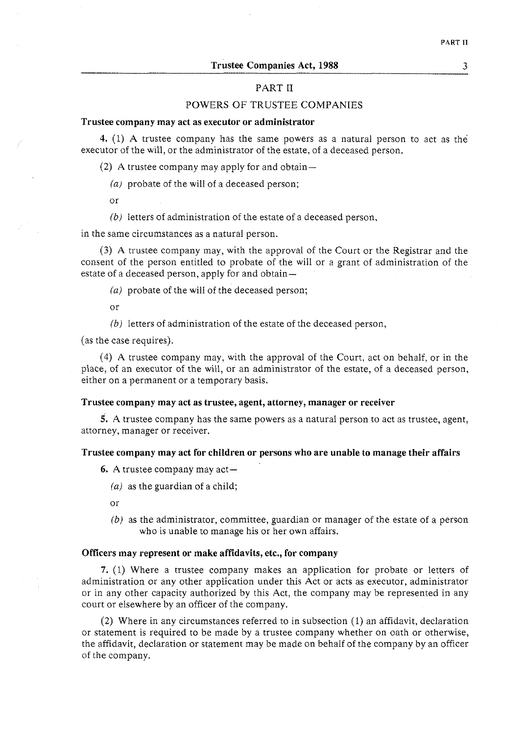## PART **I1**

## POWERS OF TRUSTEE COMPANIES

#### **Trustee company may act as executor or administrator**

4. (1) A trustee company has the same powers as a natural person to act as the executor of the will, or the administrator of the estate, of a deceased person.

(2) A trustee company may apply for and obtain-

*(a)* probate of the will of a deceased person;

**or** 

*(b)* letters of administration of the estate of a deceased person,

in the same circumstances as a natural person.

(3) A trustee company may, with the approval of the Court or the Registrar and the consent of the person entitled to probate of the will or a grant of administration of the estate of a deceased person, apply for and obtain-

*(a)* probate of the will of the deceased person;

or

*(b)* letters of administration of the estate of the deceased person,

(as the case requires).

(4) A trustee company may, with the approval of the Court, act on behalf, or in the place, of an executor of the will, or an administrator of the estate, of a deceased person, either on a permanent or a temporary basis.

#### **Trustee company may act as trustee, agent, attorney, manager or receiver**

5. A trustee company has the same powers as a natural person to act as trustee, agent, attorney, manager or receiver.

#### **Trustee company may act for children or persons who are unable to manage their affairs**

**6.** A trustee company may act-

*(a)* as the guardian of a child;

or

*(b)* as the administrator, committee, guardian or manager of the estate of a person who is unable to manage his or her own affairs.

## **Officers may represent or make affidavits, etc., for company**

7. (1) Where a trustee company makes an application for probate or letters of administration or any other application under this Act or acts as executor, administrator or in any other capacity authorized by this Act, the company may be represented in any court or elsewhere by an officer of the company.

(2) Where in any circumstances referred to in subsection (1) an affidavit, declaration or statement is required to be made by a trustee company whether on oath or otherwise, the affidavit, declaration or statement may be made on behalf of the company by an officer of the company.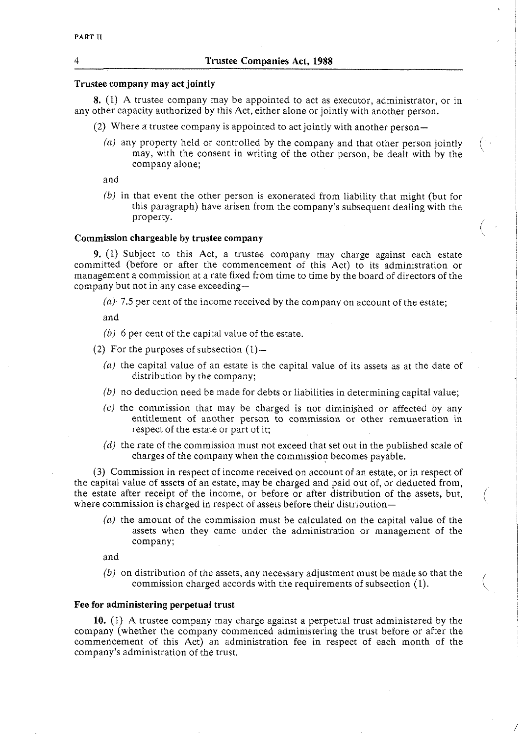## **Trustee company may act jointly**

**8.** (I) A trustee company may be appointed to act as executor, administrator, or in any other capacity authorized by this Act, either alone or jointly with another person.

- (2) Where a trustee company is appointed to act jointly with another person-
	- *(a)* any property held or controlled by the company and that other person jointly may, with the consent in writing of the other person, be dealt with by the company alone;

and

*(b)* in that event the other person is exonerated from liability that might (but for this paragraph) have arisen from the company's subsequent dealing with the property.

 $\bigwedge$ 

#### **Commission chargeable by trustee company**

**9.** (1) Subject to this Act, a trustee company may charge against each estate committed (before or after the commencement of this Act) to its administration or management a commission at a rate fixed from time to time by the board of directors of the company but not in any case exceeding-

*(a) 7.5* per cent of the income received by the company on account of the estate;

and

- *(b) 6* per cent of the capital value of the estate.
- (2) For the purposes of subsection  $(1)$ -
	- *(a)* the capital value of an estate is the capital value of its assets as at the date of distribution by the company;
	- *(b)* no deduction need be made for debts or liabilities in determining capital value;
	- $(c)$  the commission that may be charged is not diminished or affected by any entitlement of another person to commission or other remuneration in respect of the estate or part of it;
	- (d) the rate of the commission must not exceed that set out in the published scale of charges of the company when the commission becomes payable.

(3) Commission in respect of income received on account of an estate, or in respect of the capital value of assets of an estate, may be charged and paid out of, or deducted from, the estate after receipt of the income, or before or after distribution of the assets, but, where commission is charged in respect of assets before their distribution $-$ 

(a) the amount of the commission must be calculated on the capital value of the assets when they came under the administration or management of the company;

and

*(b)* on distribution of the assets, any necessary adjustment must be made so that the commission charged accords with the requirements of subsection  $(1)$ .

## **Fee for administering perpetual trust**

**10.** (1) A trustee company may charge against a perpetual trust administered by the company (whether the company commenced administering the trust before or after the commencement of this Act) an administration fee in respect of each month of the company's administration of the trust.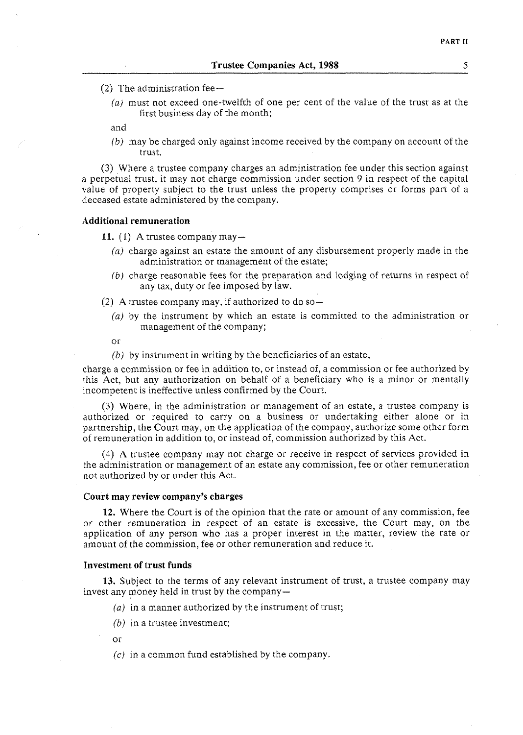- (2) The administration fee $-$ 
	- (a) must not exceed one-twelfth of one per cent of the value of the trust as at the first business day of the month;

and

(b) may be charged only against income received by the company on account of the trust.

(3) Where a trustee company charges an administration fee under this section against a perpetual trust, it may not charge commission under section 9 in respect of the capital value of property subject to the trust unless the property comprises or forms part of a deceased estate administered by the company.

#### **Additional remuneration**

**11. (1)** A trustee company may-

- (a) charge against an estate the amount of any disbursement properly made in the administration or management of the estate;
- (b) charge reasonable fees for the preparation and lodging of returns in respect of any tax, duty or fee imposed by law.
- (2) A trustee company may, if authorized to do so $-$ 
	- (a) by the instrument by which an estate is committed to the administration or management of the company;

or

 $(b)$  by instrument in writing by the beneficiaries of an estate,

charge a commission or fee in addition to, or instead of, a commission or fee authorized by this Act, but any authorization on behalf of a beneficiary who is a minor or mentally incompetent is ineffective unless confirmed by the Court.

(3) Where, in the administration or management of an estate, a trustee company is authorized or required to carry on a business or undertaking either alone or in partnership, the Court may, on the application of the company, authorize some other form of remuneration in addition to, or instead of, commission authorized by this Act.

(4) A trustee company may not charge or receive in respect of services provided in the administration or management of an estate any commission, fee or other remuneration not authorized by or under this Act.

## **Court may review company's charges**

**12.** Where the Court is of the opinion that the rate or amount of any commission, fee or other remuneration in respect of an estate is excessive, the Court may, on the application of any person who has a proper interest in the matter, review the rate or amount of the commission, fee or other remuneration and reduce it.

#### **Investment of trust funds**

**13.** Subject to the terms of any relevant instrument of trust, a trustee company may invest any money held in trust by the company-

- (a) in a manner authorized by the instrument of trust;
- (b) in a trustee investment;

or

 $(c)$  in a common fund established by the company.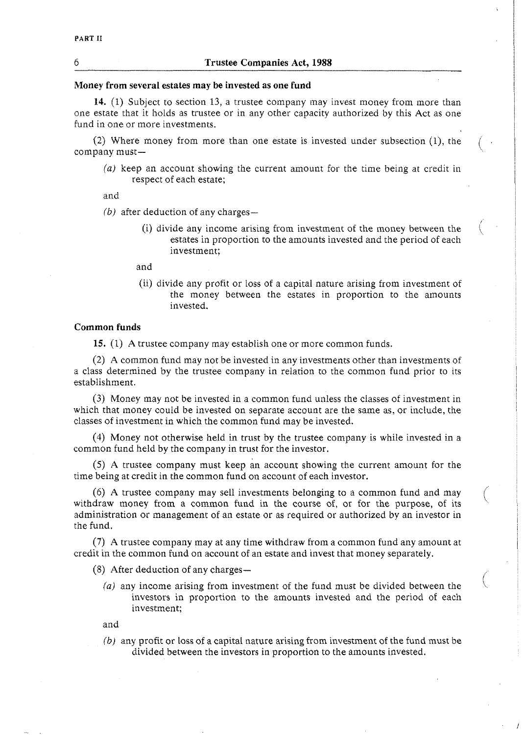#### 6 **Trustee Companies Act, 1988**

#### **Money from several estates may be invested as one fund**

**14.** (1) Subject to section 13, a trustee company may invest money from more than one estate that it holds as trustee or in any other capacity authorized by this Act as one fund in one or more investments.

*(2)* Where money from more than one estate is invested under subsection (I), the company must-

(a) keep an account showing the current amount for the time being at credit in respect of each estate;

and

 $(b)$  after deduction of any charges —

(i) divide any income arising from investment of the money between the estates in proportion to the amounts invested and the period of each investment;

and

(ii) divide any profit or loss of a capital nature arising from investment of the money between the estates in proportion to the amounts invested.

## **Common funds**

15. (1) A trustee company may establish one or more common funds.

*(2)* A common fund may not be invested in any investments other than investments of a class determined by the trustee company in relation to the common fund prior to its establishment.

(3) Money may not be invested in a common fund unless the classes of investment in which that money could be invested on separate account are the same as, or include, the classes of investment in which the common fund may be invested.

(4) Money not otherwise held in trust by the trustee company is while invested in a common fund held by the company in trust for the investor.

(5) A trustee company must keep an account showing the current amount for the time being at credit in the common fund on account of each investor.

(6) A trustee company may sell investments belonging to a common fund and may withdraw money from a common fund in the course of, or for the purpose, of its administration or management of an estate or as required or authorized by an investor in the fund.

(7) A trustee company may at any time withdraw from a common fund any amount at credit in the common fund on account of an estate and invest that money separately.

- (8) After deduction of any charges $-$ 
	- (a) any income arising from investment of the fund must be divided between the investors in proportion to the amounts invested and the period of each investment;

and

(b) any profit or loss of a capital nature arising from investment of the fund must be divided between the investors in proportion to the amounts invested.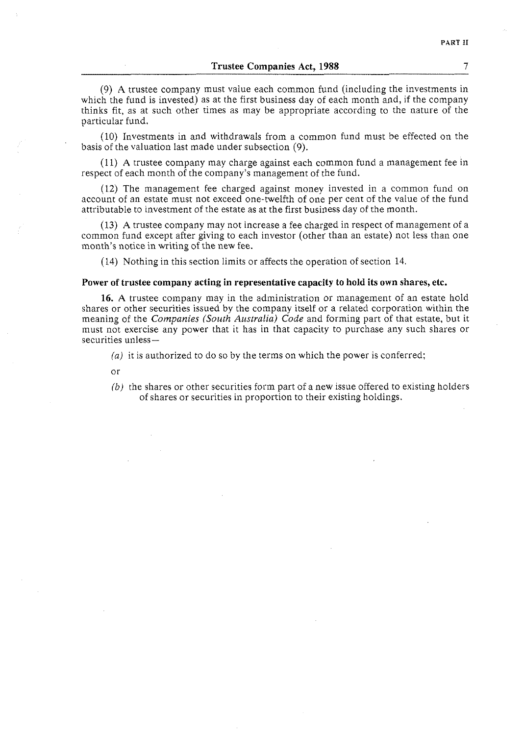**Trustee Companies Act, 1988** 7

(9) A trustee company must value each common fund (including the investments in which the fund is invested) as at the first business day of each month and, if the company thinks fit, as at such other times as may be appropriate according to the nature of the particular fund.

(10) Investments in and withdrawals from a common fund must be effected on the basis of the valuation last made under subsection (9).

(11) A trustee company may charge against each common fund a management fee in respect of each month of the company's management of the fund.

(12) The management fee charged against money invested in a common fund on account of an estate must not exceed one-twelfth of one per cent of the value of the fund attributable to investment of the estate as at the first business day of the month.

(13) A trustee company may not increase a fee charged in respect of management of a common fund except after giving to each investor (other than an estate) not less than one month's notice in writing of the new fee.

(14) Nothing in this section limits or affects the operation of section 14.

#### **Power of trustee company acting in representative capacity to hold its own shares, etc.**

**16.** A trustee company may in the administration or management of an estate hold shares or other securities issued by the company itself or a related corporation within the meaning of the *Companies (South Australia) Code* and forming part of that estate, but it must not exercise any power that it has in that capacity to purchase any such shares or securities unless-

(a) it is authorized to do so by the terms on which the power is conferred;

- $\alpha r$
- *(b)* the shares or other securities form part of a new issue offered to existing holders of shares or securities in proportion to their existing holdings.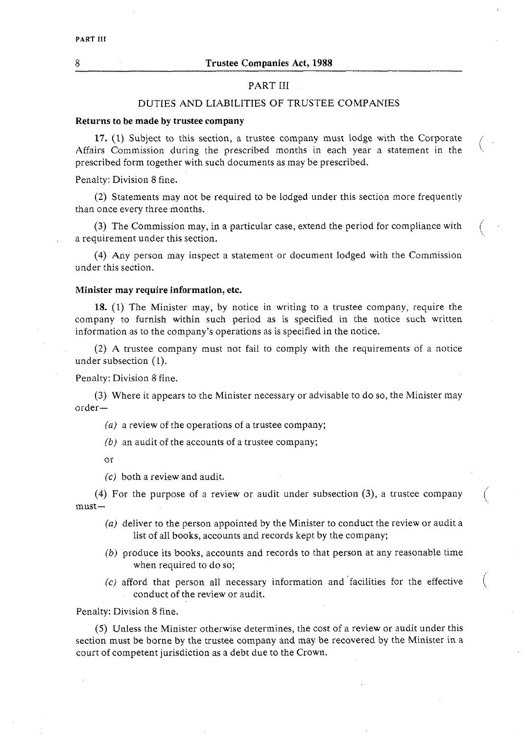## PART III

## DUTIES AND LIABILITIES OF TRUSTEE COMPANIES

#### **Returns to be made by trustee company**

**17.** (1) Subject to this section, a trustee company must iodge with the Corporate Affairs Commission during the prescribed months in each year a statement in the prescribed form together with such documents as may be prescribed.

Penalty: Division 8 fine.

(2) Statements may not be required to be lodged under this section more frequently than once every three months.

(3) The Commission may, in a particular case, extend the period for compliance with a requirement under this section.

(4) Any person may inspect a statement or document lodged with the Commission under this section.

## **Minister may require information, etc.**

**18.** (1) The Minister may, by notice in writing to a trustee company, require the company to furnish within such period as is specified in the notice such written information as to the company's operations as is specified in the notice.

(2) A trustee company must not fail to comply with the requirements of a notice under subsection (1).

Penalty: Division 8 fine.

(3) Where it appears to the Minister necessary or advisable to do so, the Minister may order-

(a) a review of the operations of a trustee company;

*(b)* an audit of the accounts of a trustee company;

or

(c) both a review and audit.

(4) For the purpose of a review or audit under subsection (3), a trustee company  $must$ 

- (a) deliver to the person appointed by the Minister to conduct the review or audit a list of all books, accounts and records kept by the company;
- *(b)* produce its books, accounts and records to that person at any reasonable time when required to do so;
- $(c)$  afford that person all necessary information and facilities for the effective conduct of the review or audit.

Penalty: Division 8 fine.

(5) Unless the Minister otherwise determines, the cost of a review or audit under this section must be borne by the trustee company and may be recovered by the Minister in a court of competent jurisdiction as a debt due to the Crown.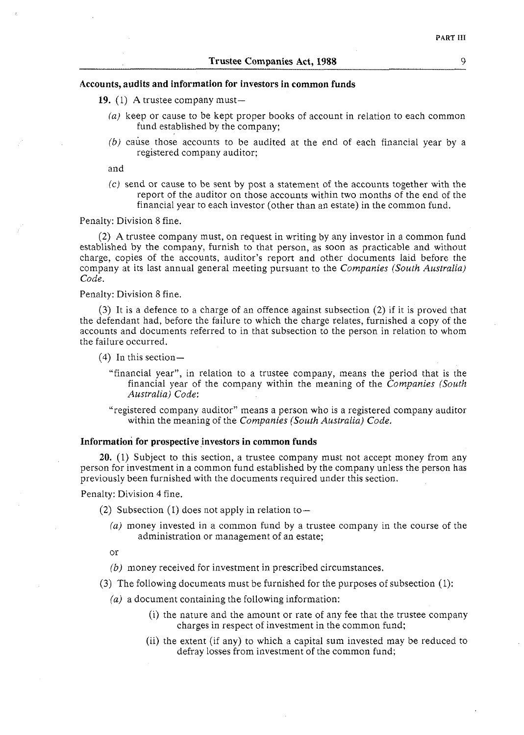## **Accounts, audits and information for investors in common funds**

**19.** (1) A trustee company must-

- *(a)* keep or cause to be kept proper books of account in relation to each common fund established by the company;
- *(b)* cause those accounts to be audited at the end of each financial year by a registered company auditor;

and

(c) send or cause to be sent by post a statement of the accounts together with the report of the auditor on those accounts within two months of the end of the financial year to each investor (other than an estate) in the common fund.

Penalty: Division 8 fine.

(2) A trustee company must, on request in writing by any investor in a common fund established by the company, furnish to that person, as soon as practicable and without charge, copies of the accounts, auditor's report and other documents laid before the company at its last annual general meeting pursuant to the *Companies (South Australia) Code.* 

#### Penalty: Division 8 fine.

**(3)** It is a defence to a charge of an offence against subsection (2) if it is proved that the defendant had, before the failure to which the charge relates, furnished a copy of the accounts and documents referred to in that subsection to the person in relation to whom the failure occurred.

- $(4)$  In this section-
	- "financial year", in relation to a trustee company, means the period that is the financial year of the company within the meaning of the *Companies (South Australia) Code:*
	- "registered company auditor" means a person who is a registered company auditor within the meaning of the *Companies (South Australia) Code.*

#### Information for prospective investors in common funds

**20.** (1) Subject to this section, a trustee company must not accept money from any person for investment in a common fund established by the company unless the person has previously been furnished with the documents required under this section.

Penalty: Division 4 fine.

- (2) Subsection  $(1)$  does not apply in relation to  $-$ 
	- *(a)* money invested in a common fund by a trustee company in the course of the administration or management of an estate;
	- or
	- *(b)* money received for investment in prescribed circumstances.
- **(3)** The following documents must be furnished for the purposes of subsection (1):
	- *(a)* a document containing the following information:
		- (i) the nature and the amount or rate of any fee that the trustee company charges in respect of investment in the common fund;
		- (ii) the extent (if any) to which a capital sum invested may be reduced to defray losses from investment of the common fund;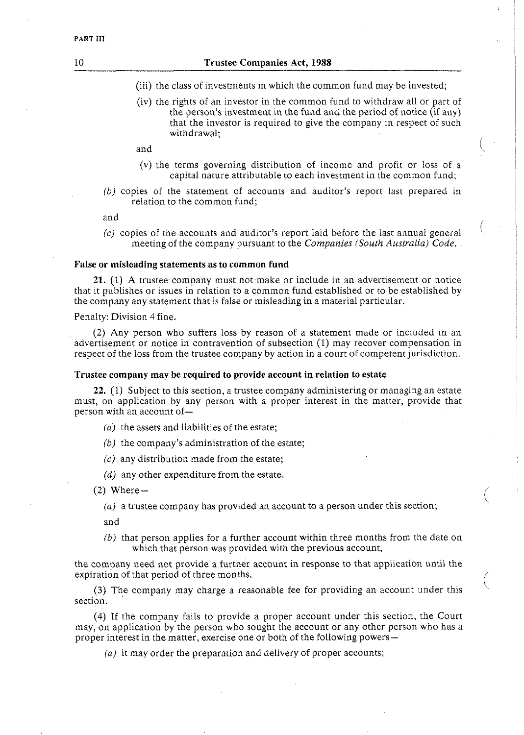- (iii) the class of investments in which the common fund may be invested;
- (iv) the rights of an investor in the common fund to withdraw all or part of the person's investment in the fund and the period of notice (if any) that the investor is required to give the company in respect of such withdrawal;

and

- (v) the terms governing distribution of income and profit or loss of a capital nature attributable to each investment in the common fund:
- *(b)* copies of the statement of accounts and auditor's report last prepared in relation to the common fund;

and

 $(c)$  copies of the accounts and auditor's report laid before the last annual general meeting of the company pursuant to the *Companies (South Australia) Code.* 

#### **False or misleading statements as to common fund**

**21.** (1) A trustee company must not make or include in an advertisement or notice that it publishes or issues in relation to a common fund established or to be established by the company any statement that is false or misleading in a material particular.

#### Penalty: Division 4 fine.

(2) Any person who suffers loss by reason of a statement made or included in an advertisement or notice in contravention of subsection (1) may recover compensation in respect of the loss from the trustee company by action in a court of competent jurisdiction.

## **Trustee company may be required to provide account in relation to estate**

**22.** (1) Subject to this section, a trustee company administering or managing an estate must, on application by any person with a proper interest in the matter, provide that person with an account of-

- *(a)* the assets and liabilities of the estate;
- *(b)* the company's administration of the estate;
- $(c)$  any distribution made from the estate;
- *(d)* any other expenditure from the estate.

 $(2)$  Where-

*(a)* a trustee company has provided an account to a person under this section;

and

*(b)* that person applies for a further account within three months from the date on which that person was provided with the previous account,

the company need not provide a further account in response to that application until the expiration of that period of three months.

**(3)** The company may charge a reasonable fee for providing an account under this section.

(4) If the company fails to provide a proper account under this section, the Court may, on application by the person who sought the account or any other person who has a proper interest in the matter, exercise one or both of the following powers-

*(a)* it may order the preparation and delivery of proper accounts;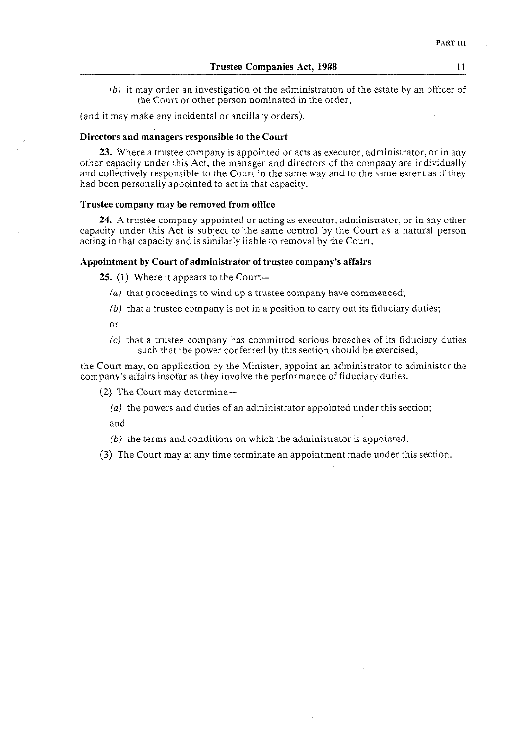*(b)* it may order an investigation of the administration of the estate by an officer of the Court or other person nominated in the order,

(and it may make any incidental or ancillary orders).

## **Directors and managers responsible to the Court**

**23.** Where a trustee company is appointed or acts as executor, administrator, or in any other capacity under this Act, the manager and directors of the company are individually and collectively responsible to the Court in the same way and to the same extent as if they had been personally appointed to act in that capacity.

## **Trustee company may be removed from office**

**24.** A trustee company appointed or acting as executor, administrator, or in any other capacity under this Act is subject to the same control by the Court as a natural person acting in that capacity and is similarly liable to removal by the Court.

## **Appointment by Court of administrator of trustee company's affairs**

25. (1) Where it appears to the Court-

- *(a)* that proceedings to wind up a trustee company have commenced;
- *(b)* that a trustee company is not in a position to carry out its fiduciary duties;

or

*(c)* that a trustee company has committed serious breaches of its fiduciary duties such that the power conferred by this section should be exercised,

the Court may, on application by the Minister, appoint an administrator to administer the company's affairs insofar as they involve the performance of fiduciary duties.

 $(2)$  The Court may determine-

*(a)* the powers and duties of an administrator appointed under this section;

and

(b) the terms and conditions on which the administrator is appointed.

**(3)** The Court may at any time terminate an appointment made under this section.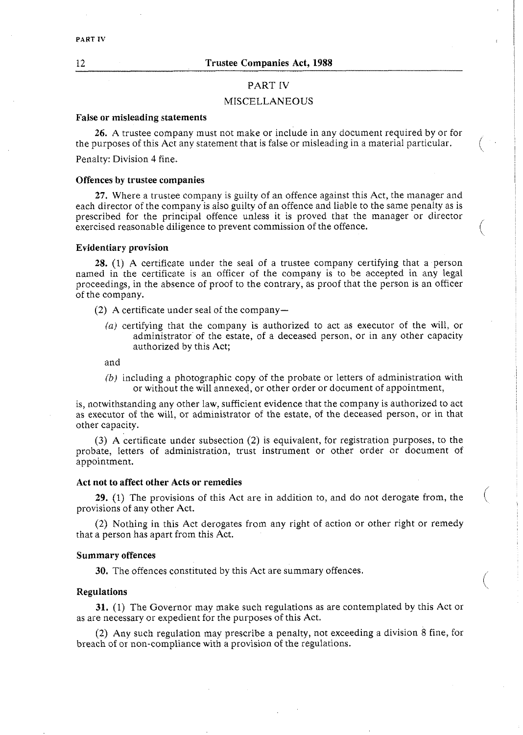#### PART IV

#### PART IV

## MISCELLANEOUS

#### **False or misleading statements**

**26.** A trustee company must not make or include in any document required by or for the purposes of this Act any statement that is false or misleading in a material particular.<br>Penalty: Division 4 fine.

## **Offences by trustee companies**

**27.** Where a trustee company is guilty of an offence against this Act, the manager and each director of the company is also guilty of an offence and liable to the same penalty as is prescribed for the principal offence unless it is proved that the manager or director exercised reasonable diligence to prevent commission of the offence.

#### **Evidentiary provision**

**28.** (1) A certificate under the seal of a trustee company certifying that a person named in the certificate is an officer of the company is to be accepted in any legal proceedings, in the absence of proof to the contrary, as proof that the person is an officer of the company.

(2) A certificate under seal of the company-

(a) certifying that the company is authorized to act as executor of the will, or administrator of the estate, of a deceased person, or in any other capacity authorized by this Act;

and

*(b)* including a photographic copy of the probate or letters of administration with or without the will annexed, or other order or document of appointment,

is, notwithstanding any other law, sufficient evidence that the company is authorized to act as executor of the will, or administrator of the estate, of the deceased person, or in that other capacity.

**(3)** A certificate under subsection (2) is equivalent, for registration purposes, to the probate, letters of administration, trust instrument or other order or document of appointment.

## **Act not to affect other Acts or remedies**

**29.** (1) The provisions of this Act are in addition to, and do not derogate from, the ( provisions of any ocher Act.

/

(2) Nothing in this Ace derogates from any right of action or other right or remedy that a person has apart from this Act.

#### **Summary offences**

**30.** The offences constituted by this Act are summary offences.

## **Regulations**

**31.** (1) The Governor may make such regulations as are contemplated by this Act or as are necessary or expedient for the purposes of this Act.

(2) Any such regulation may prescribe a penalty, not exceeding a division 8 fine, for breach of or non-compliance with a provision of the regulations.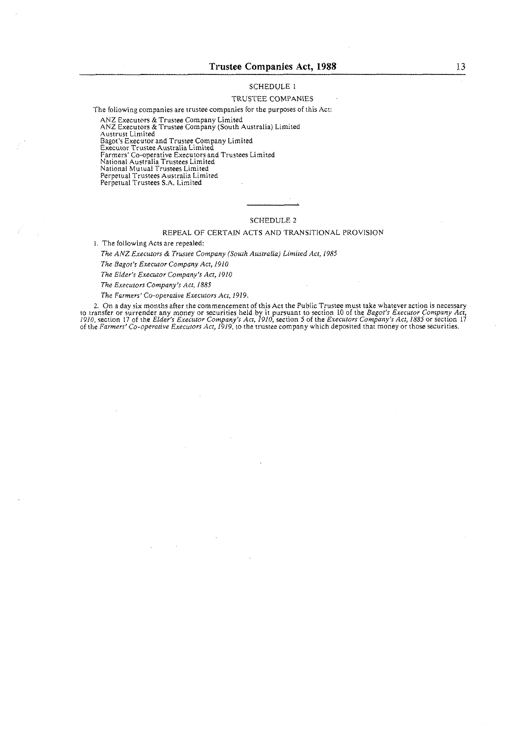#### SCHEDULE I

## TRUSTEE COMPANIES

The following companies are trustee companies for the purposes of this Act:

ANZ Executors & Trustee Company Limited ANZ Executors & Trustee Company (South Australia) Limited

Austrust Limited Dagot's Executor and Trustee Company Limited Executor Trustee Australia Limited

Farmers' Co-operaiive Executors and Trustees Limited

National AustraliaTrustees Limited

National Mutual Trustees Limited

Perpetual Trustees Australia Limìted<br>Perpetual Trustees S.A. Limited

#### SCHEDULE **2**

#### REPEAL OF CERTAIN ACTS AND TRANSITIONAL PROVISION

i. The following Acts are repealed:

*The ANZ Executors & Trustee Company (South Australia) Limited Act, 1985* 

*The Eagot's Executor Company Act, 1910* 

*The Elder's Executor Company's Act, 1910* 

*The E.recurors Company's Act,* 1885

*The Farmers' Co-ooerative Executors Acr. 1919.* 

2. On a day six months after the commencement of this Act the Public Trustee must take whatever action is necessary<br>to transfer or surrender any money or securities held by it pursuant to section 10 of the *Bagot's Executo*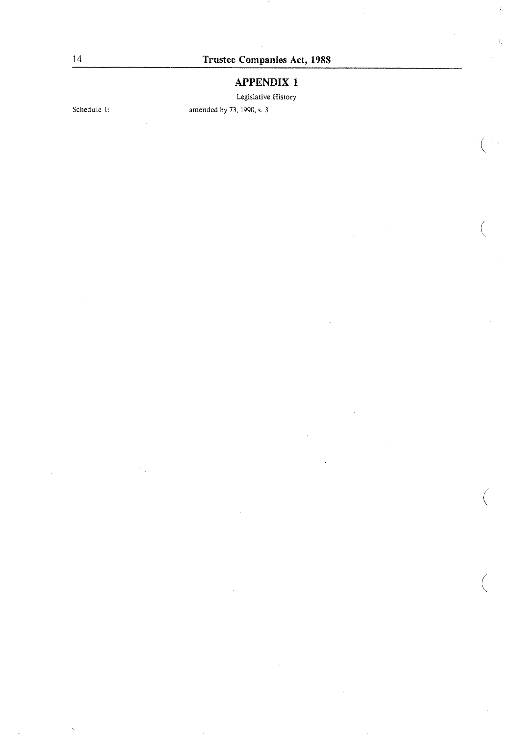$\xi_{\rm s}$ 

# **APPENDIX 1**

Legislative History

Schedule 1: amended by 73, 1990, s. 3